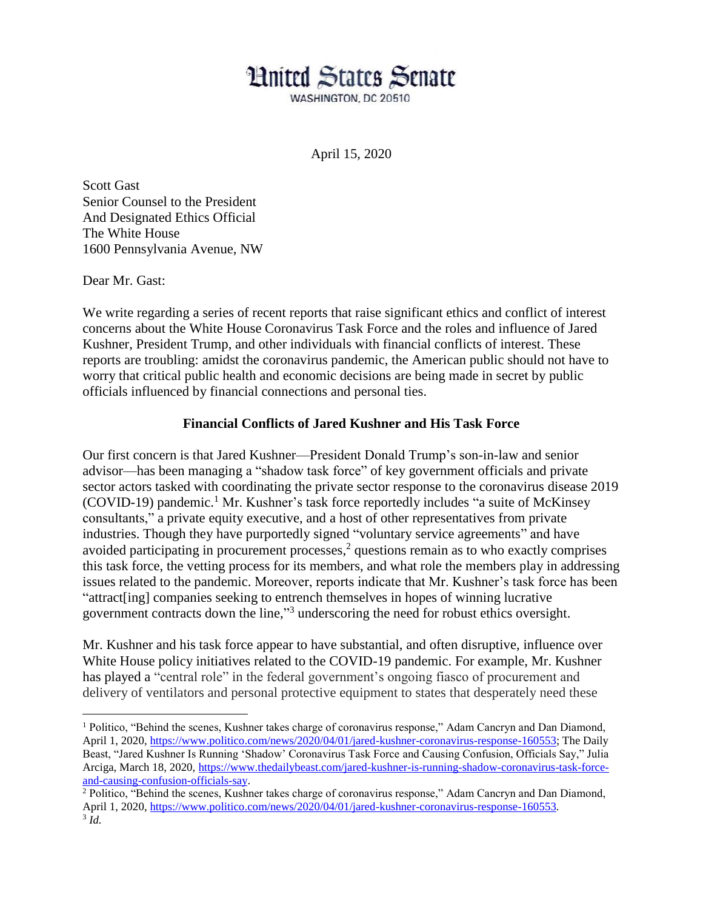## **Hnited States Senate**

WASHINGTON, DC 20510

April 15, 2020

Scott Gast Senior Counsel to the President And Designated Ethics Official The White House 1600 Pennsylvania Avenue, NW

Dear Mr. Gast:

 $\overline{a}$ 

We write regarding a series of recent reports that raise significant ethics and conflict of interest concerns about the White House Coronavirus Task Force and the roles and influence of Jared Kushner, President Trump, and other individuals with financial conflicts of interest. These reports are troubling: amidst the coronavirus pandemic, the American public should not have to worry that critical public health and economic decisions are being made in secret by public officials influenced by financial connections and personal ties.

## **Financial Conflicts of Jared Kushner and His Task Force**

Our first concern is that Jared Kushner—President Donald Trump's son-in-law and senior advisor—has been managing a "shadow task force" of key government officials and private sector actors tasked with coordinating the private sector response to the coronavirus disease 2019  $(COVID-19)$  pandemic.<sup>1</sup> Mr. Kushner's task force reportedly includes "a suite of McKinsey" consultants," a private equity executive, and a host of other representatives from private industries. Though they have purportedly signed "voluntary service agreements" and have avoided participating in procurement processes, $\frac{2}{3}$  questions remain as to who exactly comprises this task force, the vetting process for its members, and what role the members play in addressing issues related to the pandemic. Moreover, reports indicate that Mr. Kushner's task force has been "attract[ing] companies seeking to entrench themselves in hopes of winning lucrative government contracts down the line," 3 underscoring the need for robust ethics oversight.

Mr. Kushner and his task force appear to have substantial, and often disruptive, influence over White House policy initiatives related to the COVID-19 pandemic. For example, Mr. Kushner has played a "central role" in the federal government's ongoing fiasco of procurement and delivery of ventilators and personal protective equipment to states that desperately need these

<sup>1</sup> Politico, "Behind the scenes, Kushner takes charge of coronavirus response," Adam Cancryn and Dan Diamond, April 1, 2020[, https://www.politico.com/news/2020/04/01/jared-kushner-coronavirus-response-160553;](https://www.politico.com/news/2020/04/01/jared-kushner-coronavirus-response-160553) The Daily Beast, "Jared Kushner Is Running 'Shadow' Coronavirus Task Force and Causing Confusion, Officials Say," Julia Arciga, March 18, 2020, [https://www.thedailybeast.com/jared-kushner-is-running-shadow-coronavirus-task-force](https://www.thedailybeast.com/jared-kushner-is-running-shadow-coronavirus-task-force-and-causing-confusion-officials-say)[and-causing-confusion-officials-say.](https://www.thedailybeast.com/jared-kushner-is-running-shadow-coronavirus-task-force-and-causing-confusion-officials-say)

<sup>2</sup> Politico, "Behind the scenes, Kushner takes charge of coronavirus response," Adam Cancryn and Dan Diamond, April 1, 2020[, https://www.politico.com/news/2020/04/01/jared-kushner-coronavirus-response-160553.](https://www.politico.com/news/2020/04/01/jared-kushner-coronavirus-response-160553) 3 *Id.*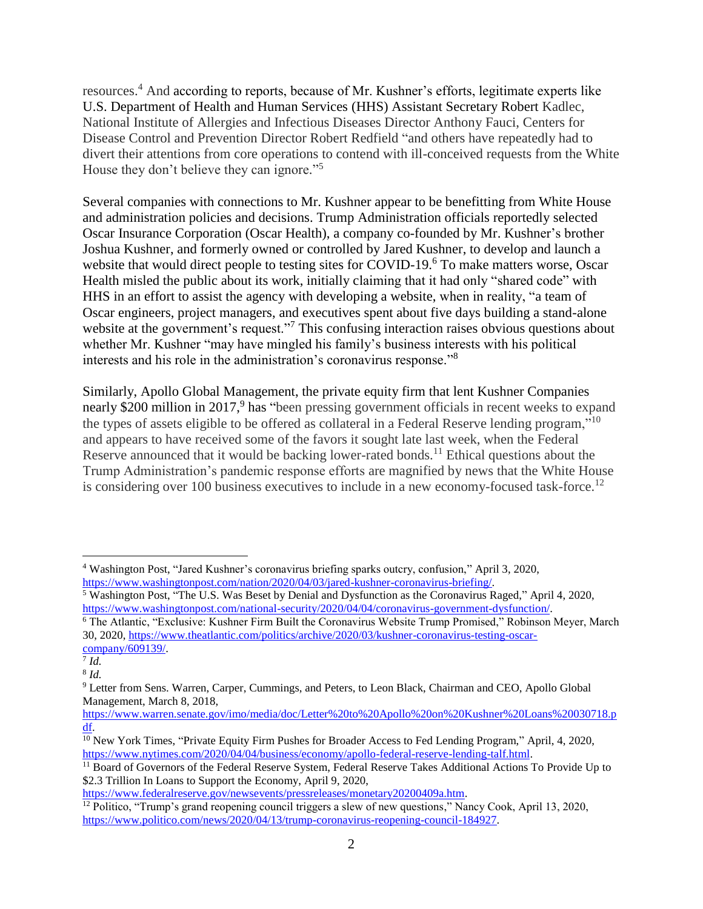resources. <sup>4</sup> And according to reports, because of Mr. Kushner's efforts, legitimate experts like U.S. Department of Health and Human Services (HHS) Assistant Secretary Robert Kadlec, National Institute of Allergies and Infectious Diseases Director Anthony Fauci, Centers for Disease Control and Prevention Director Robert Redfield "and others have repeatedly had to divert their attentions from core operations to contend with ill-conceived requests from the White House they don't believe they can ignore."<sup>5</sup>

Several companies with connections to Mr. Kushner appear to be benefitting from White House and administration policies and decisions. Trump Administration officials reportedly selected Oscar Insurance Corporation (Oscar Health), a company co-founded by Mr. Kushner's brother Joshua Kushner, and formerly owned or controlled by Jared Kushner, to develop and launch a website that would direct people to testing sites for COVID-19.<sup>6</sup> To make matters worse, Oscar Health misled the public about its work, initially claiming that it had only "shared code" with HHS in an effort to assist the agency with developing a website, when in reality, "a team of Oscar engineers, project managers, and executives spent about five days building a stand-alone website at the government's request."<sup>7</sup> This confusing interaction raises obvious questions about whether Mr. Kushner "may have mingled his family's business interests with his political interests and his role in the administration's coronavirus response."<sup>8</sup>

Similarly, Apollo Global Management, the private equity firm that lent Kushner Companies nearly \$200 million in 2017,<sup>9</sup> has "been pressing government officials in recent weeks to expand the types of assets eligible to be offered as collateral in a Federal Reserve lending program,"<sup>10</sup> and appears to have received some of the favors it sought late last week, when the Federal Reserve announced that it would be backing lower-rated bonds.<sup>11</sup> Ethical questions about the Trump Administration's pandemic response efforts are magnified by news that the White House is considering over 100 business executives to include in a new economy-focused task-force.<sup>12</sup>

 $\overline{a}$ 

<sup>4</sup> Washington Post, "Jared Kushner's coronavirus briefing sparks outcry, confusion," April 3, 2020, [https://www.washingtonpost.com/nation/2020/04/03/jared-kushner-coronavirus-briefing/.](https://www.washingtonpost.com/nation/2020/04/03/jared-kushner-coronavirus-briefing/)

<sup>5</sup> Washington Post, "The U.S. Was Beset by Denial and Dysfunction as the Coronavirus Raged," April 4, 2020, [https://www.washingtonpost.com/national-security/2020/04/04/coronavirus-government-dysfunction/.](https://www.washingtonpost.com/national-security/2020/04/04/coronavirus-government-dysfunction/?arc404=true)

<sup>6</sup> The Atlantic, "Exclusive: Kushner Firm Built the Coronavirus Website Trump Promised," Robinson Meyer, March 30, 2020, [https://www.theatlantic.com/politics/archive/2020/03/kushner-coronavirus-testing-oscar-](https://www.theatlantic.com/politics/archive/2020/03/kushner-coronavirus-testing-oscar-company/609139/)

[company/609139/.](https://www.theatlantic.com/politics/archive/2020/03/kushner-coronavirus-testing-oscar-company/609139/) 7 *Id.*

<sup>8</sup> *Id.*

<sup>9</sup> Letter from Sens. Warren, Carper, Cummings, and Peters, to Leon Black, Chairman and CEO, Apollo Global Management, March 8, 2018,

[https://www.warren.senate.gov/imo/media/doc/Letter%20to%20Apollo%20on%20Kushner%20Loans%20030718.p](https://www.warren.senate.gov/imo/media/doc/Letter%20to%20Apollo%20on%20Kushner%20Loans%20030718.pdf) [df.](https://www.warren.senate.gov/imo/media/doc/Letter%20to%20Apollo%20on%20Kushner%20Loans%20030718.pdf)

 $\frac{10}{10}$  New York Times, "Private Equity Firm Pushes for Broader Access to Fed Lending Program," April, 4, 2020, [https://www.nytimes.com/2020/04/04/business/economy/apollo-federal-reserve-lending-talf.html.](https://www.nytimes.com/2020/04/04/business/economy/apollo-federal-reserve-lending-talf.html)

<sup>&</sup>lt;sup>11</sup> Board of Governors of the Federal Reserve System, Federal Reserve Takes Additional Actions To Provide Up to \$2.3 Trillion In Loans to Support the Economy, April 9, 2020,

[https://www.federalreserve.gov/newsevents/pressreleases/monetary20200409a.htm.](https://www.federalreserve.gov/newsevents/pressreleases/monetary20200409a.htm)

<sup>&</sup>lt;sup>12</sup> Politico, "Trump's grand reopening council triggers a slew of new questions," Nancy Cook, April 13, 2020, [https://www.politico.com/news/2020/04/13/trump-coronavirus-reopening-council-184927.](https://www.politico.com/news/2020/04/13/trump-coronavirus-reopening-council-184927)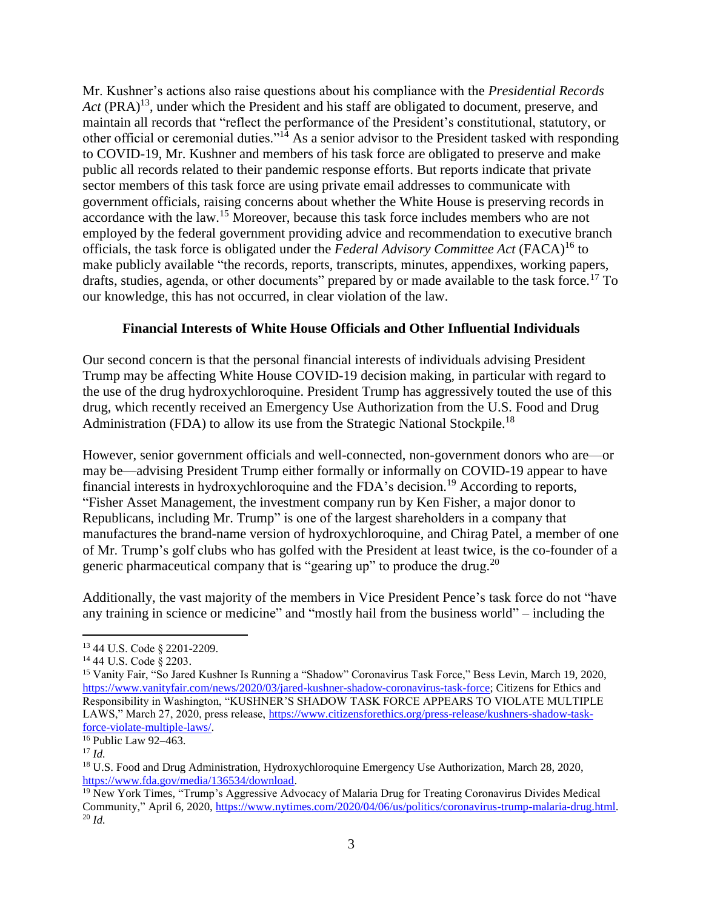Mr. Kushner's actions also raise questions about his compliance with the *Presidential Records*  Act (PRA)<sup>13</sup>, under which the President and his staff are obligated to document, preserve, and maintain all records that "reflect the performance of the President's constitutional, statutory, or other official or ceremonial duties."<sup>14</sup> As a senior advisor to the President tasked with responding to COVID-19, Mr. Kushner and members of his task force are obligated to preserve and make public all records related to their pandemic response efforts. But reports indicate that private sector members of this task force are using private email addresses to communicate with government officials, raising concerns about whether the White House is preserving records in accordance with the law.<sup>15</sup> Moreover, because this task force includes members who are not employed by the federal government providing advice and recommendation to executive branch officials, the task force is obligated under the *Federal Advisory Committee Act* (FACA)<sup>16</sup> to make publicly available "the records, reports, transcripts, minutes, appendixes, working papers, drafts, studies, agenda, or other documents" prepared by or made available to the task force.<sup>17</sup> To our knowledge, this has not occurred, in clear violation of the law.

## **Financial Interests of White House Officials and Other Influential Individuals**

Our second concern is that the personal financial interests of individuals advising President Trump may be affecting White House COVID-19 decision making, in particular with regard to the use of the drug hydroxychloroquine. President Trump has aggressively touted the use of this drug, which recently received an Emergency Use Authorization from the U.S. Food and Drug Administration (FDA) to allow its use from the Strategic National Stockpile.<sup>18</sup>

However, senior government officials and well-connected, non-government donors who are—or may be—advising President Trump either formally or informally on COVID-19 appear to have financial interests in hydroxychloroquine and the FDA's decision.<sup>19</sup> According to reports, "Fisher Asset Management, the investment company run by Ken Fisher, a major donor to Republicans, including Mr. Trump" is one of the largest shareholders in a company that manufactures the brand-name version of hydroxychloroquine, and Chirag Patel, a member of one of Mr. Trump's golf clubs who has golfed with the President at least twice, is the co-founder of a generic pharmaceutical company that is "gearing up" to produce the drug.<sup>20</sup>

Additionally, the vast majority of the members in Vice President Pence's task force do not "have any training in science or medicine" and "mostly hail from the business world" – including the

 $\overline{a}$ 

<sup>13</sup> 44 U.S. Code § 2201-2209.

<sup>14</sup> 44 U.S. Code § 2203.

<sup>15</sup> Vanity Fair, "So Jared Kushner Is Running a "Shadow" Coronavirus Task Force," Bess Levin, March 19, 2020, [https://www.vanityfair.com/news/2020/03/jared-kushner-shadow-coronavirus-task-force;](https://www.vanityfair.com/news/2020/03/jared-kushner-shadow-coronavirus-task-force) Citizens for Ethics and Responsibility in Washington, "KUSHNER'S SHADOW TASK FORCE APPEARS TO VIOLATE MULTIPLE LAWS," March 27, 2020, press release, [https://www.citizensforethics.org/press-release/kushners-shadow-task](https://www.citizensforethics.org/press-release/kushners-shadow-task-force-violate-multiple-laws/)[force-violate-multiple-laws/.](https://www.citizensforethics.org/press-release/kushners-shadow-task-force-violate-multiple-laws/)

<sup>16</sup> Public Law 92–463.

<sup>17</sup> *Id.*

<sup>18</sup> U.S. Food and Drug Administration, Hydroxychloroquine Emergency Use Authorization, March 28, 2020, [https://www.fda.gov/media/136534/download.](https://www.fda.gov/media/136534/download)

<sup>19</sup> New York Times, "Trump's Aggressive Advocacy of Malaria Drug for Treating Coronavirus Divides Medical Community," April 6, 2020, [https://www.nytimes.com/2020/04/06/us/politics/coronavirus-trump-malaria-drug.html.](https://www.nytimes.com/2020/04/06/us/politics/coronavirus-trump-malaria-drug.html) <sup>20</sup> *Id.*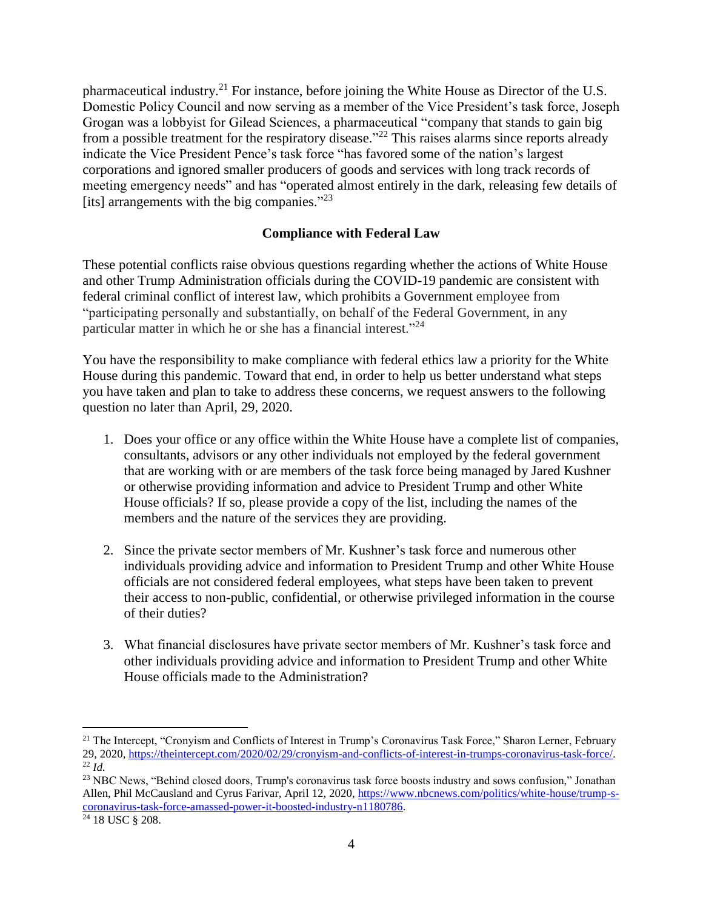pharmaceutical industry.<sup>21</sup> For instance, before joining the White House as Director of the U.S. Domestic Policy Council and now serving as a member of the Vice President's task force, Joseph Grogan was a lobbyist for Gilead Sciences, a pharmaceutical "company that stands to gain big from a possible treatment for the respiratory disease."<sup>22</sup> This raises alarms since reports already indicate the Vice President Pence's task force "has favored some of the nation's largest corporations and ignored smaller producers of goods and services with long track records of meeting emergency needs" and has "operated almost entirely in the dark, releasing few details of [its] arrangements with the big companies."<sup>23</sup>

## **Compliance with Federal Law**

These potential conflicts raise obvious questions regarding whether the actions of White House and other Trump Administration officials during the COVID-19 pandemic are consistent with federal criminal conflict of interest law, which prohibits a Government employee from "participating personally and substantially, on behalf of the Federal Government, in any particular matter in which he or she has a financial interest."<sup>24</sup>

You have the responsibility to make compliance with federal ethics law a priority for the White House during this pandemic. Toward that end, in order to help us better understand what steps you have taken and plan to take to address these concerns, we request answers to the following question no later than April, 29, 2020.

- 1. Does your office or any office within the White House have a complete list of companies, consultants, advisors or any other individuals not employed by the federal government that are working with or are members of the task force being managed by Jared Kushner or otherwise providing information and advice to President Trump and other White House officials? If so, please provide a copy of the list, including the names of the members and the nature of the services they are providing.
- 2. Since the private sector members of Mr. Kushner's task force and numerous other individuals providing advice and information to President Trump and other White House officials are not considered federal employees, what steps have been taken to prevent their access to non-public, confidential, or otherwise privileged information in the course of their duties?
- 3. What financial disclosures have private sector members of Mr. Kushner's task force and other individuals providing advice and information to President Trump and other White House officials made to the Administration?

 $\overline{a}$ 

<sup>&</sup>lt;sup>21</sup> The Intercept, "Cronyism and Conflicts of Interest in Trump's Coronavirus Task Force," Sharon Lerner, February 29, 2020, [https://theintercept.com/2020/02/29/cronyism-and-conflicts-of-interest-in-trumps-coronavirus-task-force/.](https://theintercept.com/2020/02/29/cronyism-and-conflicts-of-interest-in-trumps-coronavirus-task-force/) <sup>22</sup> *Id.*

<sup>&</sup>lt;sup>23</sup> NBC News, "Behind closed doors, Trump's coronavirus task force boosts industry and sows confusion," Jonathan Allen, Phil McCausland and Cyrus Farivar, April 12, 2020[, https://www.nbcnews.com/politics/white-house/trump-s](https://www.nbcnews.com/politics/white-house/trump-s-coronavirus-task-force-amassed-power-it-boosted-industry-n1180786)[coronavirus-task-force-amassed-power-it-boosted-industry-n1180786.](https://www.nbcnews.com/politics/white-house/trump-s-coronavirus-task-force-amassed-power-it-boosted-industry-n1180786)

<sup>24</sup> 18 USC § 208.